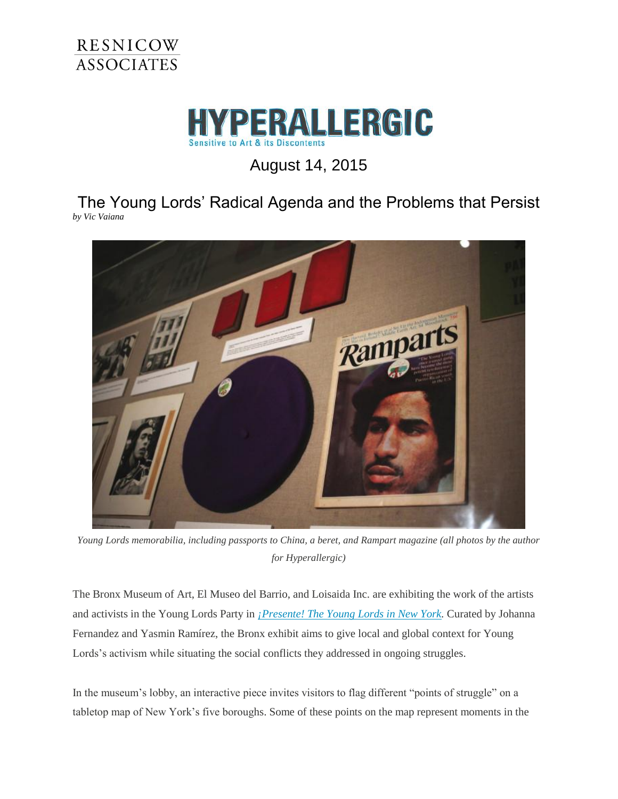



August 14, 2015

The Young Lords' Radical Agenda and the Problems that Persist *by Vic Vaiana*



*Young Lords memorabilia, including passports to China, a beret, and Rampart magazine (all photos by the author for Hyperallergic)*

The Bronx Museum of Art, El Museo del Barrio, and Loisaida Inc. are exhibiting the work of the artists and activists in the Young Lords Party in *[¡Presente! The Young Lords in New York.](http://www.bronxmuseum.org/exhibitions/presente-the-young-lords-in-new-york)* Curated by Johanna Fernandez and Yasmin Ramírez, the Bronx exhibit aims to give local and global context for Young Lords's activism while situating the social conflicts they addressed in ongoing struggles.

In the museum's lobby, an interactive piece invites visitors to flag different "points of struggle" on a tabletop map of New York's five boroughs. Some of these points on the map represent moments in the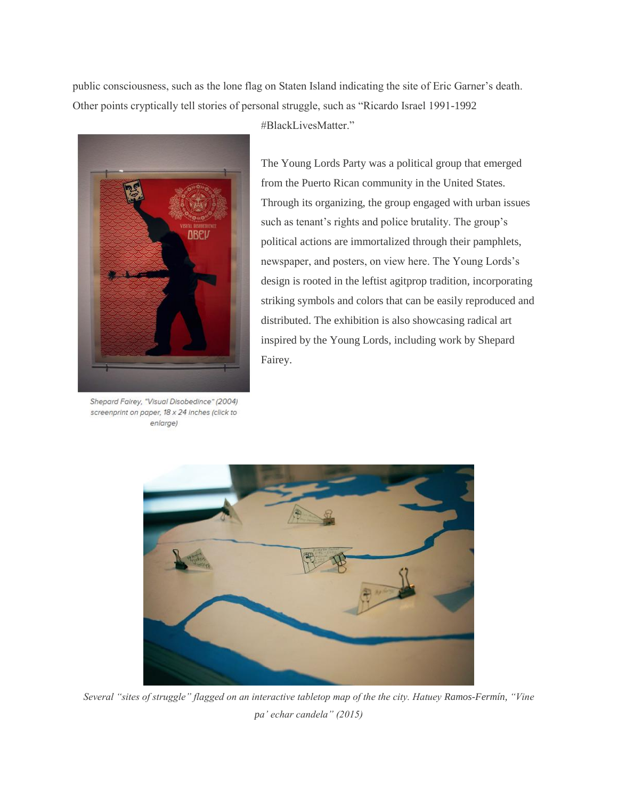public consciousness, such as the lone flag on Staten Island indicating the site of Eric Garner's death. Other points cryptically tell stories of personal struggle, such as "Ricardo Israel 1991-1992



Shepard Fairey, "Visual Disobedince" (2004) screenprint on paper, 18 x 24 inches (click to enlarge)

#BlackLivesMatter."

The Young Lords Party was a political group that emerged from the Puerto Rican community in the United States. Through its organizing, the group engaged with urban issues such as tenant's rights and police brutality. The group's political actions are immortalized through their pamphlets, newspaper, and posters, on view here. The Young Lords's design is rooted in the leftist agitprop tradition, incorporating striking symbols and colors that can be easily reproduced and distributed. The exhibition is also showcasing radical art inspired by the Young Lords, including work by Shepard Fairey.



*Several "sites of struggle" flagged on an interactive tabletop map of the the city. Hatuey Ramos-Fermín, "Vine pa' echar candela" (2015)*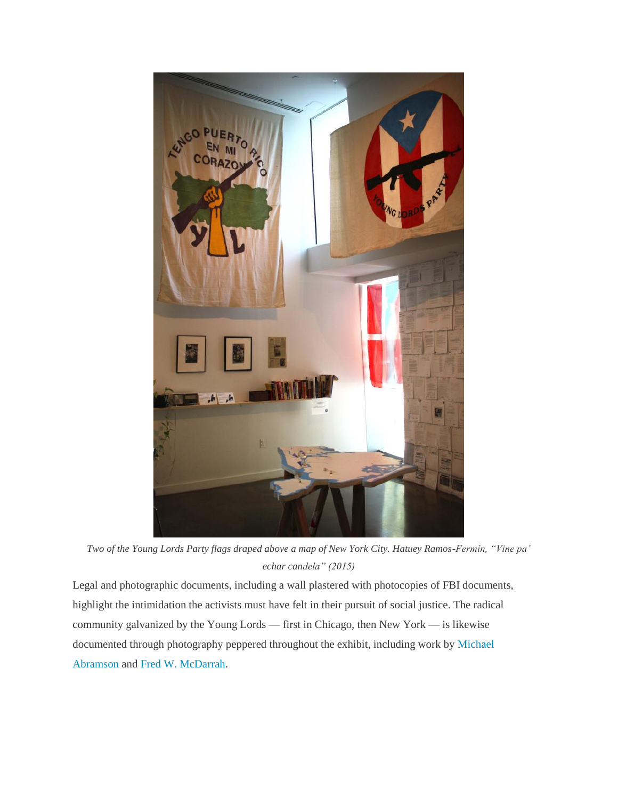

*Two of the Young Lords Party flags draped above a map of New York City. Hatuey Ramos-Fermín, "Vine pa' echar candela" (2015)*

Legal and photographic documents, including a wall plastered with photocopies of FBI documents, highlight the intimidation the activists must have felt in their pursuit of social justice. The radical community galvanized by the Young Lords — first in Chicago, then New York — is likewise documented through photography peppered throughout the exhibit, including work by [Michael](http://www.michaelabramson.com/)  [Abramson](http://www.michaelabramson.com/) and [Fred W. McDarrah.](https://en.wikipedia.org/wiki/Fred_W._McDarrah)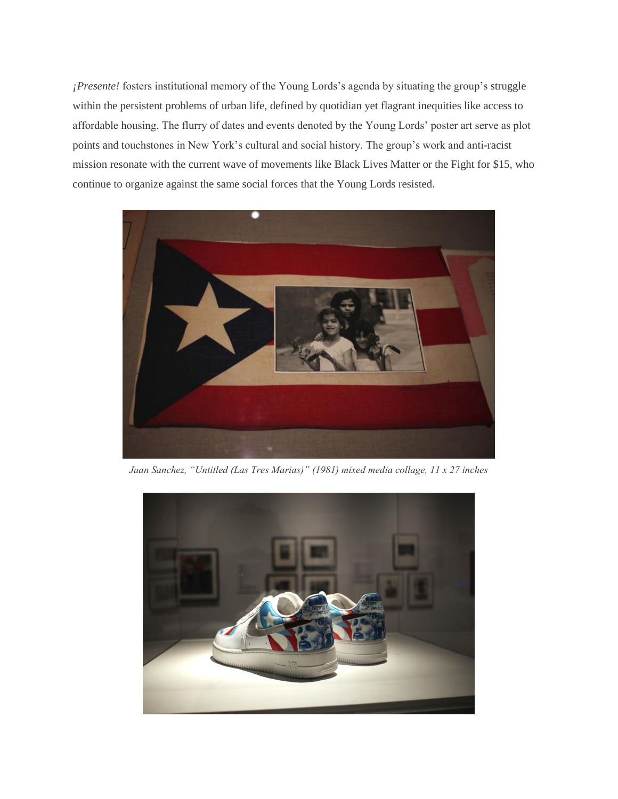*¡Presente!* fosters institutional memory of the Young Lords's agenda by situating the group's struggle within the persistent problems of urban life, defined by quotidian yet flagrant inequities like access to affordable housing. The flurry of dates and events denoted by the Young Lords' poster art serve as plot points and touchstones in New York's cultural and social history. The group's work and anti-racist mission resonate with the current wave of movements like Black Lives Matter or the Fight for \$15, who continue to organize against the same social forces that the Young Lords resisted.



*Juan Sanchez, "Untitled (Las Tres Marias)" (1981) mixed media collage, 11 x 27 inches*

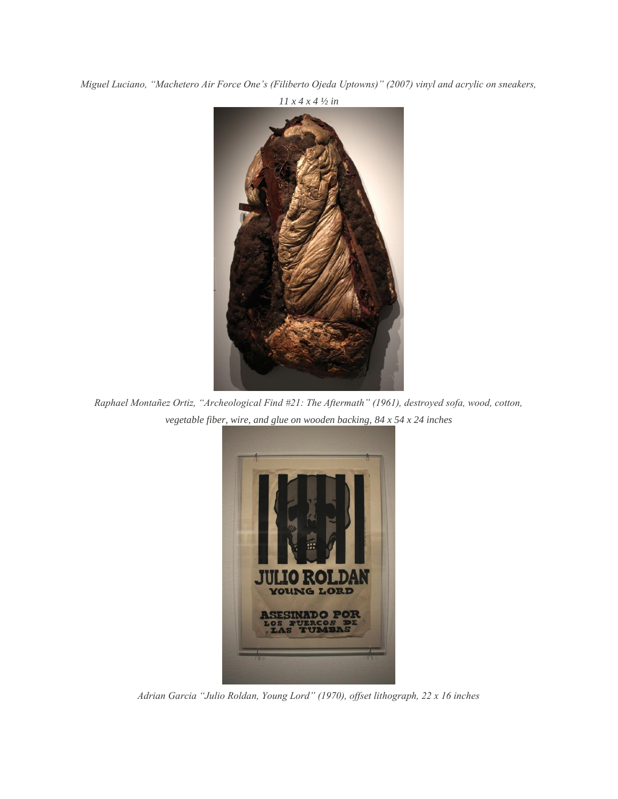*Miguel Luciano, "Machetero Air Force One's (Filiberto Ojeda Uptowns)" (2007) vinyl and acrylic on sneakers,* 



*Raphael Montañez Ortiz, "Archeological Find #21: The Aftermath" (1961), destroyed sofa, wood, cotton, vegetable fiber, wire, and glue on wooden backing, 84 x 54 x 24 inches*



*Adrian Garcia "Julio Roldan, Young Lord" (1970), offset lithograph, 22 x 16 inches*